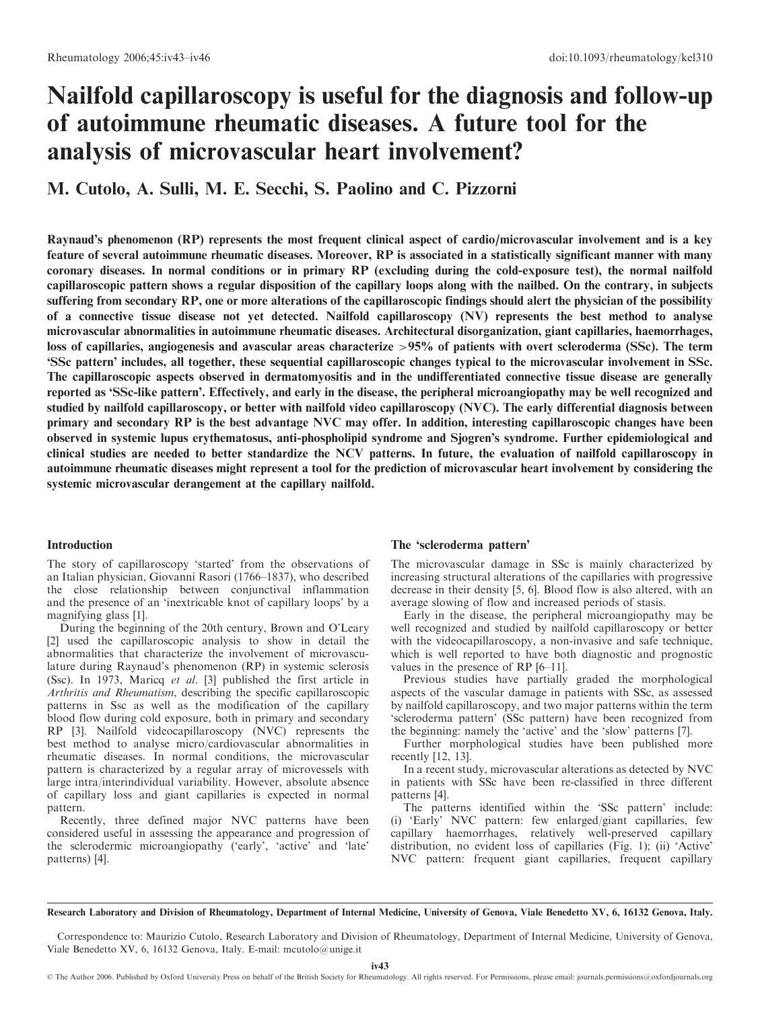# Nailfold capillaroscopy is useful for the diagnosis and follow-up of autoimmune rheumatic diseases. A future tool for the analysis of microvascular heart involvement?

M. Cutolo, A. Sulli, M. E. Secchi, S. Paolino and C. Pizzorni

Raynaud's phenomenon (RP) represents the most frequent clinical aspect of cardio/microvascular involvement and is a key feature of several autoimmune rheumatic diseases. Moreover, RP is associated in a statistically significant manner with many coronary diseases. In normal conditions or in primary RP (excluding during the cold-exposure test), the normal nailfold capillaroscopic pattern shows a regular disposition of the capillary loops along with the nailbed. On the contrary, in subjects suffering from secondary RP, one or more alterations of the capillaroscopic findings should alert the physician of the possibility of a connective tissue disease not yet detected. Nailfold capillaroscopy (NV) represents the best method to analyse microvascular abnormalities in autoimmune rheumatic diseases. Architectural disorganization, giant capillaries, haemorrhages, loss of capillaries, angiogenesis and avascular areas characterize >95% of patients with overt scleroderma (SSc). The term 'SSc pattern' includes, all together, these sequential capillaroscopic changes typical to the microvascular involvement in SSc. The capillaroscopic aspects observed in dermatomyositis and in the undifferentiated connective tissue disease are generally reported as 'SSc-like pattern'. Effectively, and early in the disease, the peripheral microangiopathy may be well recognized and studied by nailfold capillaroscopy, or better with nailfold video capillaroscopy (NVC). The early differential diagnosis between primary and secondary RP is the best advantage NVC may offer. In addition, interesting capillaroscopic changes have been observed in systemic lupus erythematosus, anti-phospholipid syndrome and Sjogren's syndrome. Further epidemiological and clinical studies are needed to better standardize the NCV patterns. In future, the evaluation of nailfold capillaroscopy in autoimmune rheumatic diseases might represent a tool for the prediction of microvascular heart involvement by considering the systemic microvascular derangement at the capillary nailfold.

# Introduction

The story of capillaroscopy 'started' from the observations of an Italian physician, Giovanni Rasori (1766–1837), who described the close relationship between conjunctival inflammation and the presence of an 'inextricable knot of capillary loops' by a magnifying glass [1].

During the beginning of the 20th century, Brown and O'Leary [2] used the capillaroscopic analysis to show in detail the abnormalities that characterize the involvement of microvasculature during Raynaud's phenomenon (RP) in systemic sclerosis (Ssc). In 1973, Maricq et al. [3] published the first article in Arthritis and Rheumatism, describing the specific capillaroscopic patterns in Ssc as well as the modification of the capillary blood flow during cold exposure, both in primary and secondary RP [3]. Nailfold videocapillaroscopy (NVC) represents the best method to analyse micro/cardiovascular abnormalities in rheumatic diseases. In normal conditions, the microvascular pattern is characterized by a regular array of microvessels with large intra/interindividual variability. However, absolute absence of capillary loss and giant capillaries is expected in normal pattern.

Recently, three defined major NVC patterns have been considered useful in assessing the appearance and progression of the sclerodermic microangiopathy ('early', 'active' and 'late' patterns) [4].

## The 'scleroderma pattern'

The microvascular damage in SSc is mainly characterized by increasing structural alterations of the capillaries with progressive decrease in their density [5, 6]. Blood flow is also altered, with an average slowing of flow and increased periods of stasis.

Early in the disease, the peripheral microangiopathy may be well recognized and studied by nailfold capillaroscopy or better with the videocapillaroscopy, a non-invasive and safe technique, which is well reported to have both diagnostic and prognostic values in the presence of RP [6–11].

Previous studies have partially graded the morphological aspects of the vascular damage in patients with SSc, as assessed by nailfold capillaroscopy, and two major patterns within the term 'scleroderma pattern' (SSc pattern) have been recognized from the beginning: namely the 'active' and the 'slow' patterns [7].

Further morphological studies have been published more recently [12, 13].

In a recent study, microvascular alterations as detected by NVC in patients with SSc have been re-classified in three different patterns [4].

The patterns identified within the 'SSc pattern' include: (i) 'Early' NVC pattern: few enlarged/giant capillaries, few capillary haemorrhages, relatively well-preserved capillary distribution, no evident loss of capillaries (Fig. 1); (ii) 'Active' NVC pattern: frequent giant capillaries, frequent capillary

Research Laboratory and Division of Rheumatology, Department of Internal Medicine, University of Genova, Viale Benedetto XV, 6, 16132 Genova, Italy.

Correspondence to: Maurizio Cutolo, Research Laboratory and Division of Rheumatology, Department of Internal Medicine, University of Genova, Viale Benedetto XV, 6, 16132 Genova, Italy. E-mail: mcutolo@unige.it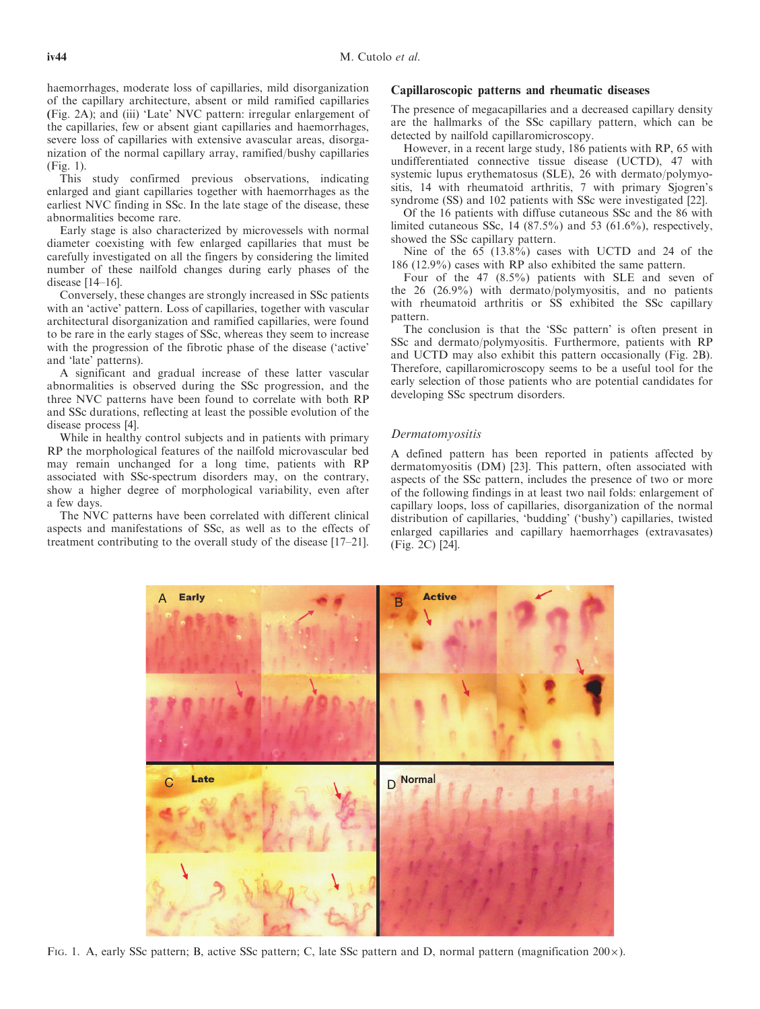haemorrhages, moderate loss of capillaries, mild disorganization of the capillary architecture, absent or mild ramified capillaries (Fig. 2A); and (iii) 'Late' NVC pattern: irregular enlargement of the capillaries, few or absent giant capillaries and haemorrhages, severe loss of capillaries with extensive avascular areas, disorganization of the normal capillary array, ramified/bushy capillaries (Fig. 1).

This study confirmed previous observations, indicating enlarged and giant capillaries together with haemorrhages as the earliest NVC finding in SSc. In the late stage of the disease, these abnormalities become rare.

Early stage is also characterized by microvessels with normal diameter coexisting with few enlarged capillaries that must be carefully investigated on all the fingers by considering the limited number of these nailfold changes during early phases of the disease [14–16].

Conversely, these changes are strongly increased in SSc patients with an 'active' pattern. Loss of capillaries, together with vascular architectural disorganization and ramified capillaries, were found to be rare in the early stages of SSc, whereas they seem to increase with the progression of the fibrotic phase of the disease ('active' and 'late' patterns).

A significant and gradual increase of these latter vascular abnormalities is observed during the SSc progression, and the three NVC patterns have been found to correlate with both RP and SSc durations, reflecting at least the possible evolution of the disease process [4].

While in healthy control subjects and in patients with primary RP the morphological features of the nailfold microvascular bed may remain unchanged for a long time, patients with RP associated with SSc-spectrum disorders may, on the contrary, show a higher degree of morphological variability, even after a few days.

The NVC patterns have been correlated with different clinical aspects and manifestations of SSc, as well as to the effects of treatment contributing to the overall study of the disease [17–21].

### Capillaroscopic patterns and rheumatic diseases

The presence of megacapillaries and a decreased capillary density are the hallmarks of the SSc capillary pattern, which can be detected by nailfold capillaromicroscopy.

However, in a recent large study, 186 patients with RP, 65 with undifferentiated connective tissue disease (UCTD), 47 with systemic lupus erythematosus (SLE), 26 with dermato/polymyositis, 14 with rheumatoid arthritis, 7 with primary Sjogren's syndrome (SS) and 102 patients with SSc were investigated [22].

Of the 16 patients with diffuse cutaneous SSc and the 86 with limited cutaneous SSc,  $14$  (87.5%) and 53 (61.6%), respectively, showed the SSc capillary pattern.

Nine of the 65 (13.8%) cases with UCTD and 24 of the 186 (12.9%) cases with RP also exhibited the same pattern.

Four of the 47 (8.5%) patients with SLE and seven of the 26 (26.9%) with dermato/polymyositis, and no patients with rheumatoid arthritis or SS exhibited the SSc capillary pattern.

The conclusion is that the 'SSc pattern' is often present in SSc and dermato/polymyositis. Furthermore, patients with RP and UCTD may also exhibit this pattern occasionally (Fig. 2B). Therefore, capillaromicroscopy seems to be a useful tool for the early selection of those patients who are potential candidates for developing SSc spectrum disorders.

#### Dermatomyositis

A defined pattern has been reported in patients affected by dermatomyositis (DM) [23]. This pattern, often associated with aspects of the SSc pattern, includes the presence of two or more of the following findings in at least two nail folds: enlargement of capillary loops, loss of capillaries, disorganization of the normal distribution of capillaries, 'budding' ('bushy') capillaries, twisted enlarged capillaries and capillary haemorrhages (extravasates) (Fig. 2C) [24].



FIG. 1. A, early SSc pattern; B, active SSc pattern; C, late SSc pattern and D, normal pattern (magnification 200 $\times$ ).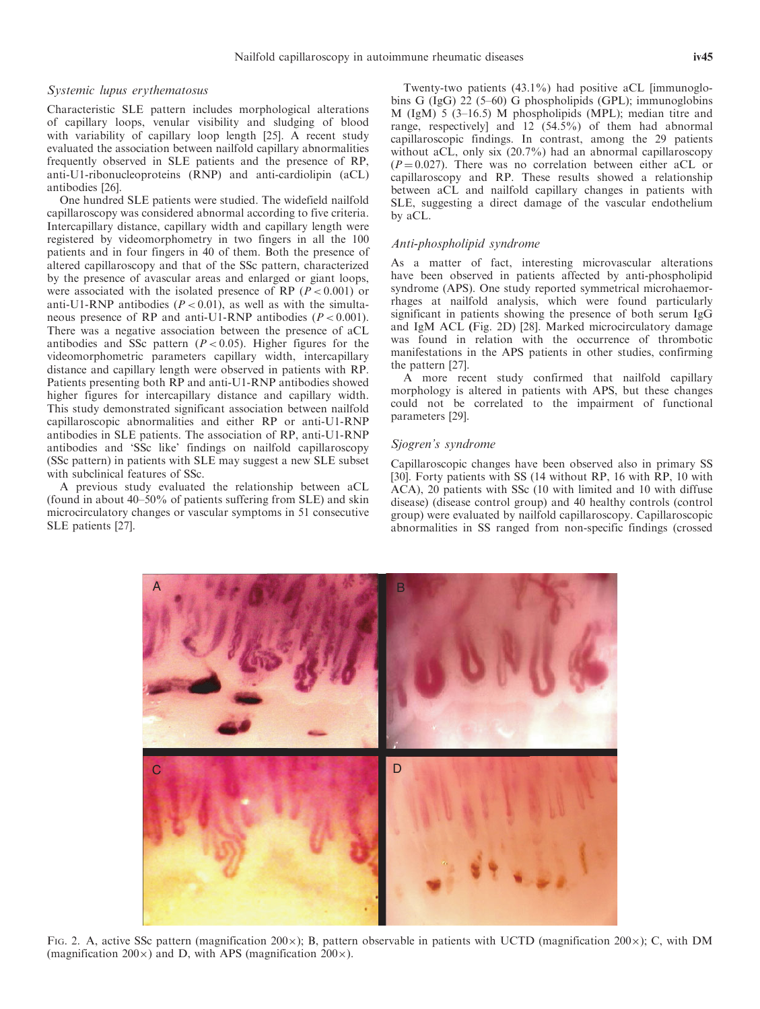#### Systemic lupus erythematosus

Characteristic SLE pattern includes morphological alterations of capillary loops, venular visibility and sludging of blood with variability of capillary loop length [25]. A recent study evaluated the association between nailfold capillary abnormalities frequently observed in SLE patients and the presence of RP, anti-U1-ribonucleoproteins (RNP) and anti-cardiolipin (aCL) antibodies [26].

One hundred SLE patients were studied. The widefield nailfold capillaroscopy was considered abnormal according to five criteria. Intercapillary distance, capillary width and capillary length were registered by videomorphometry in two fingers in all the 100 patients and in four fingers in 40 of them. Both the presence of altered capillaroscopy and that of the SSc pattern, characterized by the presence of avascular areas and enlarged or giant loops, were associated with the isolated presence of RP ( $P < 0.001$ ) or anti-U1-RNP antibodies  $(P < 0.01)$ , as well as with the simultaneous presence of RP and anti-U1-RNP antibodies  $(P < 0.001)$ . There was a negative association between the presence of aCL antibodies and SSc pattern  $(P < 0.05)$ . Higher figures for the videomorphometric parameters capillary width, intercapillary distance and capillary length were observed in patients with RP. Patients presenting both RP and anti-U1-RNP antibodies showed higher figures for intercapillary distance and capillary width. This study demonstrated significant association between nailfold capillaroscopic abnormalities and either RP or anti-U1-RNP antibodies in SLE patients. The association of RP, anti-U1-RNP antibodies and 'SSc like' findings on nailfold capillaroscopy (SSc pattern) in patients with SLE may suggest a new SLE subset with subclinical features of SSc.

A previous study evaluated the relationship between aCL (found in about 40–50% of patients suffering from SLE) and skin microcirculatory changes or vascular symptoms in 51 consecutive SLE patients [27].

A BALLARY AND BALLARY B

Twenty-two patients (43.1%) had positive aCL [immunoglobins G (IgG) 22 (5–60) G phospholipids (GPL); immunoglobins M (IgM) 5 (3–16.5) M phospholipids (MPL); median titre and range, respectively] and 12 (54.5%) of them had abnormal capillaroscopic findings. In contrast, among the 29 patients without aCL, only six (20.7%) had an abnormal capillaroscopy  $(P = 0.027)$ . There was no correlation between either aCL or capillaroscopy and RP. These results showed a relationship between aCL and nailfold capillary changes in patients with SLE, suggesting a direct damage of the vascular endothelium by aCL.

# Anti-phospholipid syndrome

As a matter of fact, interesting microvascular alterations have been observed in patients affected by anti-phospholipid syndrome (APS). One study reported symmetrical microhaemorrhages at nailfold analysis, which were found particularly significant in patients showing the presence of both serum IgG and IgM ACL (Fig. 2D) [28]. Marked microcirculatory damage was found in relation with the occurrence of thrombotic manifestations in the APS patients in other studies, confirming the pattern [27].

A more recent study confirmed that nailfold capillary morphology is altered in patients with APS, but these changes could not be correlated to the impairment of functional parameters [29].

## Sjogren's syndrome

Capillaroscopic changes have been observed also in primary SS [30]. Forty patients with SS (14 without RP, 16 with RP, 10 with ACA), 20 patients with SSc (10 with limited and 10 with diffuse disease) (disease control group) and 40 healthy controls (control group) were evaluated by nailfold capillaroscopy. Capillaroscopic abnormalities in SS ranged from non-specific findings (crossed



FIG. 2. A, active SSc pattern (magnification 200 $\times$ ); B, pattern observable in patients with UCTD (magnification 200 $\times$ ); C, with DM (magnification 200 $\times$ ) and D, with APS (magnification 200 $\times$ ).